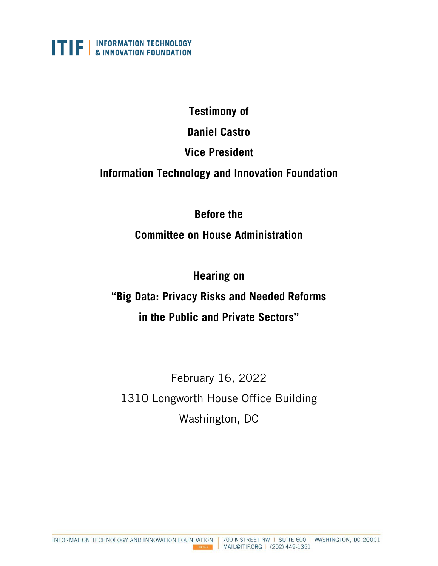

### **Testimony of**

**Daniel Castro**

## **Vice President**

## **Information Technology and Innovation Foundation**

## **Before the**

## **Committee on House Administration**

## **Hearing on**

# **"Big Data: Privacy Risks and Needed Reforms in the Public and Private Sectors"**

February 16, 2022 1310 Longworth House Office Building Washington, DC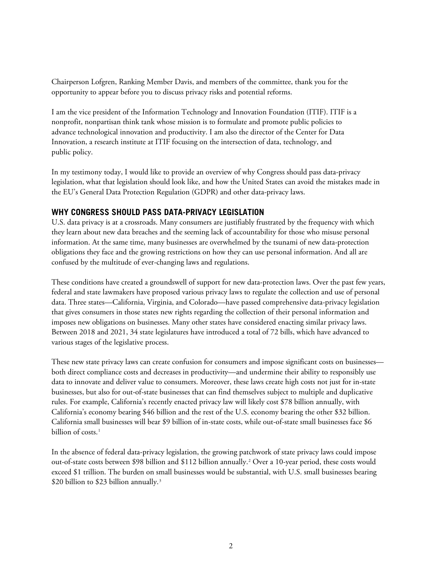Chairperson Lofgren, Ranking Member Davis, and members of the committee, thank you for the opportunity to appear before you to discuss privacy risks and potential reforms.

I am the vice president of the Information Technology and Innovation Foundation (ITIF). ITIF is a nonprofit, nonpartisan think tank whose mission is to formulate and promote public policies to advance technological innovation and productivity. I am also the director of the Center for Data Innovation, a research institute at ITIF focusing on the intersection of data, technology, and public policy.

In my testimony today, I would like to provide an overview of why Congress should pass data-privacy legislation, what that legislation should look like, and how the United States can avoid the mistakes made in the EU's General Data Protection Regulation (GDPR) and other data-privacy laws.

#### **WHY CONGRESS SHOULD PASS DATA-PRIVACY LEGISLATION**

U.S. data privacy is at a crossroads. Many consumers are justifiably frustrated by the frequency with which they learn about new data breaches and the seeming lack of accountability for those who misuse personal information. At the same time, many businesses are overwhelmed by the tsunami of new data-protection obligations they face and the growing restrictions on how they can use personal information. And all are confused by the multitude of ever-changing laws and regulations.

These conditions have created a groundswell of support for new data-protection laws. Over the past few years, federal and state lawmakers have proposed various privacy laws to regulate the collection and use of personal data. Three states—California, Virginia, and Colorado—have passed comprehensive data-privacy legislation that gives consumers in those states new rights regarding the collection of their personal information and imposes new obligations on businesses. Many other states have considered enacting similar privacy laws. Between 2018 and 2021, 34 state legislatures have introduced a total of 72 bills, which have advanced to various stages of the legislative process.

These new state privacy laws can create confusion for consumers and impose significant costs on businesses both direct compliance costs and decreases in productivity—and undermine their ability to responsibly use data to innovate and deliver value to consumers. Moreover, these laws create high costs not just for in-state businesses, but also for out-of-state businesses that can find themselves subject to multiple and duplicative rules. For example, California's recently enacted privacy law will likely cost \$78 billion annually, with California's economy bearing \$46 billion and the rest of the U.S. economy bearing the other \$32 billion. California small businesses will bear \$9 billion of in-state costs, while out-of-state small businesses face \$6 billion of costs.<sup>[1](#page-7-0)</sup>

In the absence of federal data-privacy legislation, the growing patchwork of state privacy laws could impose out-of-state costs between \$98 billion and \$112 billion annually.[2](#page-7-1) Over a 10-year period, these costs would exceed \$1 trillion. The burden on small businesses would be substantial, with U.S. small businesses bearing \$20 billion to \$2[3](#page-7-2) billion annually.<sup>3</sup>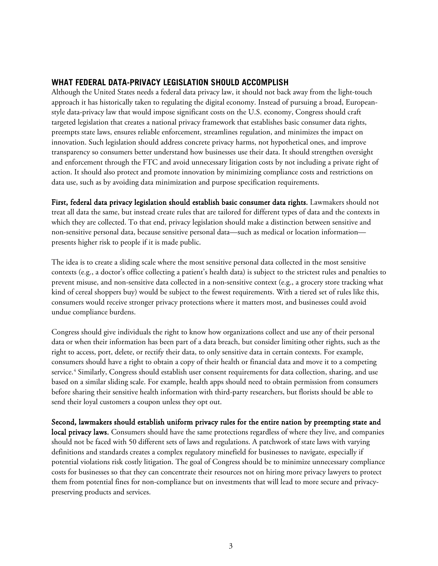#### **WHAT FEDERAL DATA-PRIVACY LEGISLATION SHOULD ACCOMPLISH**

Although the United States needs a federal data privacy law, it should not back away from the light-touch approach it has historically taken to regulating the digital economy. Instead of pursuing a broad, Europeanstyle data-privacy law that would impose significant costs on the U.S. economy, Congress should craft targeted legislation that creates a national privacy framework that establishes basic consumer data rights, preempts state laws, ensures reliable enforcement, streamlines regulation, and minimizes the impact on innovation. Such legislation should address concrete privacy harms, not hypothetical ones, and improve transparency so consumers better understand how businesses use their data. It should strengthen oversight and enforcement through the FTC and avoid unnecessary litigation costs by not including a private right of action. It should also protect and promote innovation by minimizing compliance costs and restrictions on data use, such as by avoiding data minimization and purpose specification requirements.

First, federal data privacy legislation should establish basic consumer data rights. Lawmakers should not treat all data the same, but instead create rules that are tailored for different types of data and the contexts in which they are collected. To that end, privacy legislation should make a distinction between sensitive and non-sensitive personal data, because sensitive personal data—such as medical or location information presents higher risk to people if it is made public.

The idea is to create a sliding scale where the most sensitive personal data collected in the most sensitive contexts (e.g., a doctor's office collecting a patient's health data) is subject to the strictest rules and penalties to prevent misuse, and non-sensitive data collected in a non-sensitive context (e.g., a grocery store tracking what kind of cereal shoppers buy) would be subject to the fewest requirements. With a tiered set of rules like this, consumers would receive stronger privacy protections where it matters most, and businesses could avoid undue compliance burdens.

Congress should give individuals the right to know how organizations collect and use any of their personal data or when their information has been part of a data breach, but consider limiting other rights, such as the right to access, port, delete, or rectify their data, to only sensitive data in certain contexts. For example, consumers should have a right to obtain a copy of their health or financial data and move it to a competing service.<sup>[4](#page-7-3)</sup> Similarly, Congress should establish user consent requirements for data collection, sharing, and use based on a similar sliding scale. For example, health apps should need to obtain permission from consumers before sharing their sensitive health information with third-party researchers, but florists should be able to send their loyal customers a coupon unless they opt out.

Second, lawmakers should establish uniform privacy rules for the entire nation by preempting state and local privacy laws. Consumers should have the same protections regardless of where they live, and companies should not be faced with 50 different sets of laws and regulations. A patchwork of state laws with varying definitions and standards creates a complex regulatory minefield for businesses to navigate, especially if potential violations risk costly litigation. The goal of Congress should be to minimize unnecessary compliance costs for businesses so that they can concentrate their resources not on hiring more privacy lawyers to protect them from potential fines for non-compliance but on investments that will lead to more secure and privacypreserving products and services.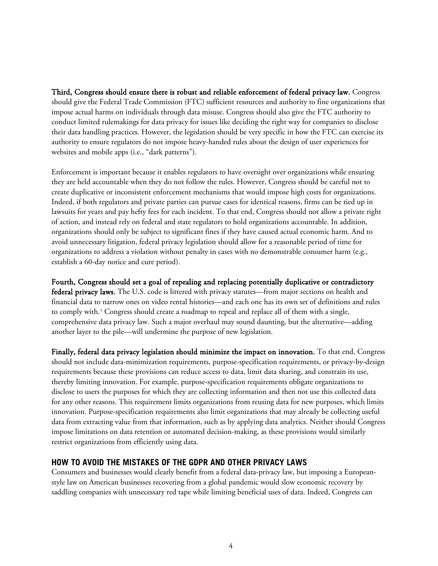Third, Congress should ensure there is robust and reliable enforcement of federal privacy law. Congress should give the Federal Trade Commission (FTC) sufficient resources and authority to fine organizations that impose actual harms on individuals through data misuse. Congress should also give the FTC authority to conduct limited rulemakings for data privacy for issues like deciding the right way for companies to disclose their data handling practices. However, the legislation should be very specific in how the FTC can exercise its authority to ensure regulators do not impose heavy-handed rules about the design of user experiences for websites and mobile apps (i.e., "dark patterns").

Enforcement is important because it enables regulators to have oversight over organizations while ensuring they are held accountable when they do not follow the rules. However, Congress should be careful not to create duplicative or inconsistent enforcement mechanisms that would impose high costs for organizations. Indeed, if both regulators and private parties can pursue cases for identical reasons, firms can be tied up in lawsuits for years and pay hefty fees for each incident. To that end, Congress should not allow a private right of action, and instead rely on federal and state regulators to hold organizations accountable. In addition, organizations should only be subject to significant fines if they have caused actual economic harm. And to avoid unnecessary litigation, federal privacy legislation should allow for a reasonable period of time for organizations to address a violation without penalty in cases with no demonstrable consumer harm (e.g., establish a 60-day notice and cure period).

Fourth, Congress should set a goal of repealing and replacing potentially duplicative or contradictory federal privacy laws. The U.S. code is littered with privacy statutes—from major sections on health and financial data to narrow ones on video rental histories—and each one has its own set of definitions and rules to comply with.<sup>[5](#page-7-4)</sup> Congress should create a roadmap to repeal and replace all of them with a single, comprehensive data privacy law. Such a major overhaul may sound daunting, but the alternative—adding another layer to the pile—will undermine the purpose of new legislation.

Finally, federal data privacy legislation should minimize the impact on innovation. To that end, Congress should not include data-minimization requirements, purpose-specification requirements, or privacy-by-design requirements because these provisions can reduce access to data, limit data sharing, and constrain its use, thereby limiting innovation. For example, purpose-specification requirements obligate organizations to disclose to users the purposes for which they are collecting information and then not use this collected data for any other reasons. This requirement limits organizations from reusing data for new purposes, which limits innovation. Purpose-specification requirements also limit organizations that may already be collecting useful data from extracting value from that information, such as by applying data analytics. Neither should Congress impose limitations on data retention or automated decision-making, as these provisions would similarly restrict organizations from efficiently using data.

#### **HOW TO AVOID THE MISTAKES OF THE GDPR AND OTHER PRIVACY LAWS**

Consumers and businesses would clearly benefit from a federal data-privacy law, but imposing a Europeanstyle law on American businesses recovering from a global pandemic would slow economic recovery by saddling companies with unnecessary red tape while limiting beneficial uses of data. Indeed, Congress can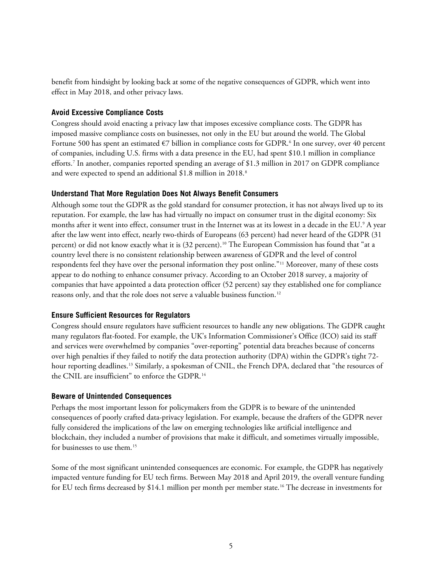benefit from hindsight by looking back at some of the negative consequences of GDPR, which went into effect in May 2018, and other privacy laws.

#### **Avoid Excessive Compliance Costs**

Congress should avoid enacting a privacy law that imposes excessive compliance costs. The GDPR has imposed massive compliance costs on businesses, not only in the EU but around the world. The Global Fortune 500 has spent an estimated €7 billion in compliance costs for GDPR. [6](#page-7-5) In one survey, over 40 percent of companies, including U.S. firms with a data presence in the EU, had spent \$10.1 million in compliance efforts. [7](#page-7-6) In another, companies reported spending an average of \$1.3 million in 2017 on GDPR compliance and were expected to spend an additional \$1.8 million in 2018. [8](#page-7-7)

#### **Understand That More Regulation Does Not Always Benefit Consumers**

Although some tout the GDPR as the gold standard for consumer protection, it has not always lived up to its reputation. For example, the law has had virtually no impact on consumer trust in the digital economy: Six months after it went into effect, consumer trust in the Internet was at its lowest in a decade in the EU.<sup>[9](#page-7-8)</sup> A year after the law went into effect, nearly two-thirds of Europeans (63 percent) had never heard of the GDPR (31 percent) or did not know exactly what it is (32 percent). [10](#page-7-9) The European Commission has found that "at a country level there is no consistent relationship between awareness of GDPR and the level of control respondents feel they have over the personal information they post online."[11](#page-7-10) Moreover, many of these costs appear to do nothing to enhance consumer privacy. According to an October 2018 survey, a majority of companies that have appointed a data protection officer (52 percent) say they established one for compliance reasons only, and that the role does not serve a valuable business function. [12](#page-7-11)

#### **Ensure Sufficient Resources for Regulators**

Congress should ensure regulators have sufficient resources to handle any new obligations. The GDPR caught many regulators flat-footed. For example, the UK's Information Commissioner's Office (ICO) said its staff and services were overwhelmed by companies "over-reporting" potential data breaches because of concerns over high penalties if they failed to notify the data protection authority (DPA) within the GDPR's tight 72- hour reporting deadlines.<sup>[13](#page-7-12)</sup> Similarly, a spokesman of CNIL, the French DPA, declared that "the resources of the CNIL are insufficient" to enforce the GDPR. [14](#page-7-13)

#### **Beware of Unintended Consequences**

Perhaps the most important lesson for policymakers from the GDPR is to beware of the unintended consequences of poorly crafted data-privacy legislation. For example, because the drafters of the GDPR never fully considered the implications of the law on emerging technologies like artificial intelligence and blockchain, they included a number of provisions that make it difficult, and sometimes virtually impossible, for businesses to use them.<sup>[15](#page-7-14)</sup>

Some of the most significant unintended consequences are economic. For example, the GDPR has negatively impacted venture funding for EU tech firms. Between May 2018 and April 2019, the overall venture funding for EU tech firms decreased by \$14.1 million per month per member state. [16](#page-7-15) The decrease in investments for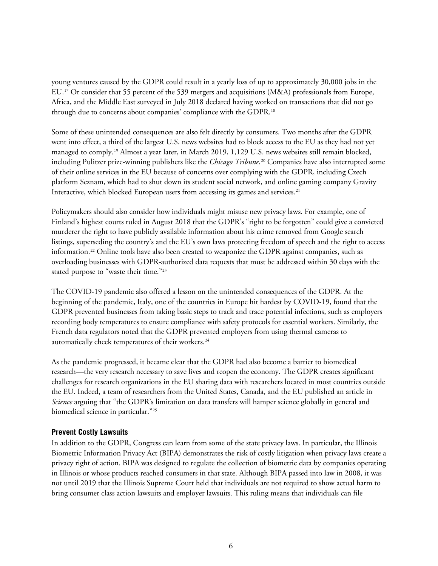young ventures caused by the GDPR could result in a yearly loss of up to approximately 30,000 jobs in the EU. [17](#page-7-16) Or consider that 55 percent of the 539 mergers and acquisitions (M&A) professionals from Europe, Africa, and the Middle East surveyed in July 2018 declared having worked on transactions that did not go through due to concerns about companies' compliance with the GDPR. [18](#page-8-0)

Some of these unintended consequences are also felt directly by consumers. Two months after the GDPR went into effect, a third of the largest U.S. news websites had to block access to the EU as they had not yet managed to comply.[19](#page-8-1) Almost a year later, in March 2019, 1,129 U.S. news websites still remain blocked, including Pulitzer prize-winning publishers like the *Chicago Tribune*. [20](#page-8-2) Companies have also interrupted some of their online services in the EU because of concerns over complying with the GDPR, including Czech platform Seznam, which had to shut down its student social network, and online gaming company Gravity Interactive, which blocked European users from accessing its games and services.<sup>[21](#page-8-3)</sup>

Policymakers should also consider how individuals might misuse new privacy laws. For example, one of Finland's highest courts ruled in August 2018 that the GDPR's "right to be forgotten" could give a convicted murderer the right to have publicly available information about his crime removed from Google search listings, superseding the country's and the EU's own laws protecting freedom of speech and the right to access information. [22](#page-8-4) Online tools have also been created to weaponize the GDPR against companies, such as overloading businesses with GDPR-authorized data requests that must be addressed within 30 days with the stated purpose to "waste their time."[23](#page-8-5)

The COVID-19 pandemic also offered a lesson on the unintended consequences of the GDPR. At the beginning of the pandemic, Italy, one of the countries in Europe hit hardest by COVID-19, found that the GDPR prevented businesses from taking basic steps to track and trace potential infections, such as employers recording body temperatures to ensure compliance with safety protocols for essential workers. Similarly, the French data regulators noted that the GDPR prevented employers from using thermal cameras to automatically check temperatures of their workers.<sup>[24](#page-8-6)</sup>

As the pandemic progressed, it became clear that the GDPR had also become a barrier to biomedical research—the very research necessary to save lives and reopen the economy. The GDPR creates significant challenges for research organizations in the EU sharing data with researchers located in most countries outside the EU. Indeed, a team of researchers from the United States, Canada, and the EU published an article in *Science* arguing that "the GDPR's limitation on data transfers will hamper science globally in general and biomedical science in particular."[25](#page-8-7)

#### **Prevent Costly Lawsuits**

In addition to the GDPR, Congress can learn from some of the state privacy laws. In particular, the Illinois Biometric Information Privacy Act (BIPA) demonstrates the risk of costly litigation when privacy laws create a privacy right of action. BIPA was designed to regulate the collection of biometric data by companies operating in Illinois or whose products reached consumers in that state. Although BIPA passed into law in 2008, it was not until 2019 that the Illinois Supreme Court held that individuals are not required to show actual harm to bring consumer class action lawsuits and employer lawsuits. This ruling means that individuals can file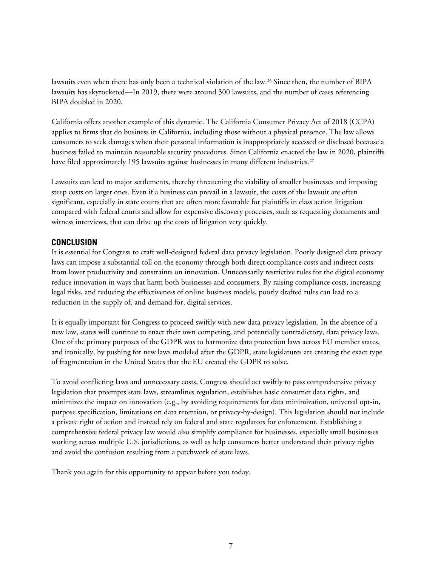lawsuits even when there has only been a technical violation of the law. [26](#page-8-8) Since then, the number of BIPA lawsuits has skyrocketed—In 2019, there were around 300 lawsuits, and the number of cases referencing BIPA doubled in 2020.

California offers another example of this dynamic. The California Consumer Privacy Act of 2018 (CCPA) applies to firms that do business in California, including those without a physical presence. The law allows consumers to seek damages when their personal information is inappropriately accessed or disclosed because a business failed to maintain reasonable security procedures. Since California enacted the law in 2020, plaintiffs have filed approximately 195 lawsuits against businesses in many different industries. [27](#page-8-9)

Lawsuits can lead to major settlements, thereby threatening the viability of smaller businesses and imposing steep costs on larger ones. Even if a business can prevail in a lawsuit, the costs of the lawsuit are often significant, especially in state courts that are often more favorable for plaintiffs in class action litigation compared with federal courts and allow for expensive discovery processes, such as requesting documents and witness interviews, that can drive up the costs of litigation very quickly.

#### **CONCLUSION**

It is essential for Congress to craft well-designed federal data privacy legislation. Poorly designed data privacy laws can impose a substantial toll on the economy through both direct compliance costs and indirect costs from lower productivity and constraints on innovation. Unnecessarily restrictive rules for the digital economy reduce innovation in ways that harm both businesses and consumers. By raising compliance costs, increasing legal risks, and reducing the effectiveness of online business models, poorly drafted rules can lead to a reduction in the supply of, and demand for, digital services.

It is equally important for Congress to proceed swiftly with new data privacy legislation. In the absence of a new law, states will continue to enact their own competing, and potentially contradictory, data privacy laws. One of the primary purposes of the GDPR was to harmonize data protection laws across EU member states, and ironically, by pushing for new laws modeled after the GDPR, state legislatures are creating the exact type of fragmentation in the United States that the EU created the GDPR to solve.

To avoid conflicting laws and unnecessary costs, Congress should act swiftly to pass comprehensive privacy legislation that preempts state laws, streamlines regulation, establishes basic consumer data rights, and minimizes the impact on innovation (e.g., by avoiding requirements for data minimization, universal opt-in, purpose specification, limitations on data retention, or privacy-by-design). This legislation should not include a private right of action and instead rely on federal and state regulators for enforcement. Establishing a comprehensive federal privacy law would also simplify compliance for businesses, especially small businesses working across multiple U.S. jurisdictions, as well as help consumers better understand their privacy rights and avoid the confusion resulting from a patchwork of state laws.

Thank you again for this opportunity to appear before you today.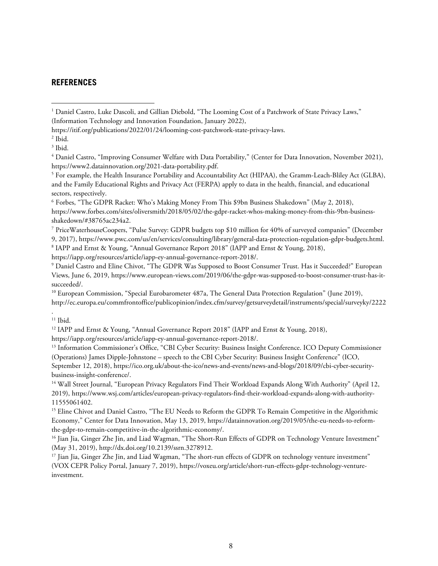#### **REFERENCES**

<span id="page-7-3"></span><sup>4</sup> Daniel Castro, "Improving Consumer Welfare with Data Portability," (Center for Data Innovation, November 2021), https://www2.datainnovation.org/2021-data-portability.pdf.

<span id="page-7-4"></span><sup>5</sup> For example, the Health Insurance Portability and Accountability Act (HIPAA), the Gramm-Leach-Bliley Act (GLBA), and the Family Educational Rights and Privacy Act (FERPA) apply to data in the health, financial, and educational sectors, respectively.

<span id="page-7-5"></span><sup>6</sup> Forbes, "The GDPR Racket: Who's Making Money From This \$9bn Business Shakedown" (May 2, 2018), https://www.forbes.com/sites/oliversmith/2018/05/02/the-gdpr-racket-whos-making-money-from-this-9bn-businessshakedown/#38765ac234a2.

<span id="page-7-6"></span><sup>7</sup> PriceWaterhouseCoopers, "Pulse Survey: GDPR budgets top \$10 million for 40% of surveyed companies" (December 9, 2017), https://www.pwc.com/us/en/services/consulting/library/general-data-protection-regulation-gdpr-budgets.html. <sup>8</sup> IAPP and Ernst & Young, "Annual Governance Report 2018" (IAPP and Ernst & Young, 2018),

<span id="page-7-7"></span>https://iapp.org/resources/article/iapp-ey-annual-governance-report-2018/.

<span id="page-7-8"></span><sup>9</sup> Daniel Castro and Eline Chivot, "The GDPR Was Supposed to Boost Consumer Trust. Has it Succeeded?" European Views, June 6, 2019, https://www.european-views.com/2019/06/the-gdpr-was-supposed-to-boost-consumer-trust-has-itsucceeded/.

<span id="page-7-9"></span><sup>10</sup> European Commission, "Special Eurobarometer 487a, The General Data Protection Regulation" (June 2019), http://ec.europa.eu/commfrontoffice/publicopinion/index.cfm/survey/getsurveydetail/instruments/special/surveyky/2222

<span id="page-7-10"></span>.  $11$  Ibid.

<span id="page-7-11"></span><sup>12</sup> IAPP and Ernst & Young, "Annual Governance Report 2018" (IAPP and Ernst & Young, 2018),

https://iapp.org/resources/article/iapp-ey-annual-governance-report-2018/.

<span id="page-7-12"></span><sup>13</sup> Information Commissioner's Office, "CBI Cyber Security: Business Insight Conference. ICO Deputy Commissioner (Operations) James Dipple-Johnstone – speech to the CBI Cyber Security: Business Insight Conference" (ICO, September 12, 2018), https://ico.org.uk/about-the-ico/news-and-events/news-and-blogs/2018/09/cbi-cyber-securitybusiness-insight-conference/.

<span id="page-7-13"></span><sup>14</sup> Wall Street Journal, "European Privacy Regulators Find Their Workload Expands Along With Authority" (April 12, 2019), https://www.wsj.com/articles/european-privacy-regulators-find-their-workload-expands-along-with-authority-11555061402.

<span id="page-7-14"></span><sup>15</sup> Eline Chivot and Daniel Castro, "The EU Needs to Reform the GDPR To Remain Competitive in the Algorithmic Economy," Center for Data Innovation, May 13, 2019, https://datainnovation.org/2019/05/the-eu-needs-to-reformthe-gdpr-to-remain-competitive-in-the-algorithmic-economy/.

<span id="page-7-15"></span><sup>16</sup> Jian Jia, Ginger Zhe Jin, and Liad Wagman, "The Short-Run Effects of GDPR on Technology Venture Investment" (May 31, 2019), http://dx.doi.org/10.2139/ssrn.3278912.

<span id="page-7-16"></span><sup>17</sup> Jian Jia, Ginger Zhe Jin, and Liad Wagman, "The short-run effects of GDPR on technology venture investment" (VOX CEPR Policy Portal, January 7, 2019), https://voxeu.org/article/short-run-effects-gdpr-technology-ventureinvestment.

<span id="page-7-0"></span><sup>&</sup>lt;sup>1</sup> Daniel Castro, Luke Dascoli, and Gillian Diebold, "The Looming Cost of a Patchwork of State Privacy Laws," (Information Technology and Innovation Foundation, January 2022),

https://itif.org/publications/2022/01/24/looming-cost-patchwork-state-privacy-laws.

<span id="page-7-1"></span><sup>2</sup> Ibid.

<span id="page-7-2"></span> $<sup>3</sup>$  Ibid.</sup>